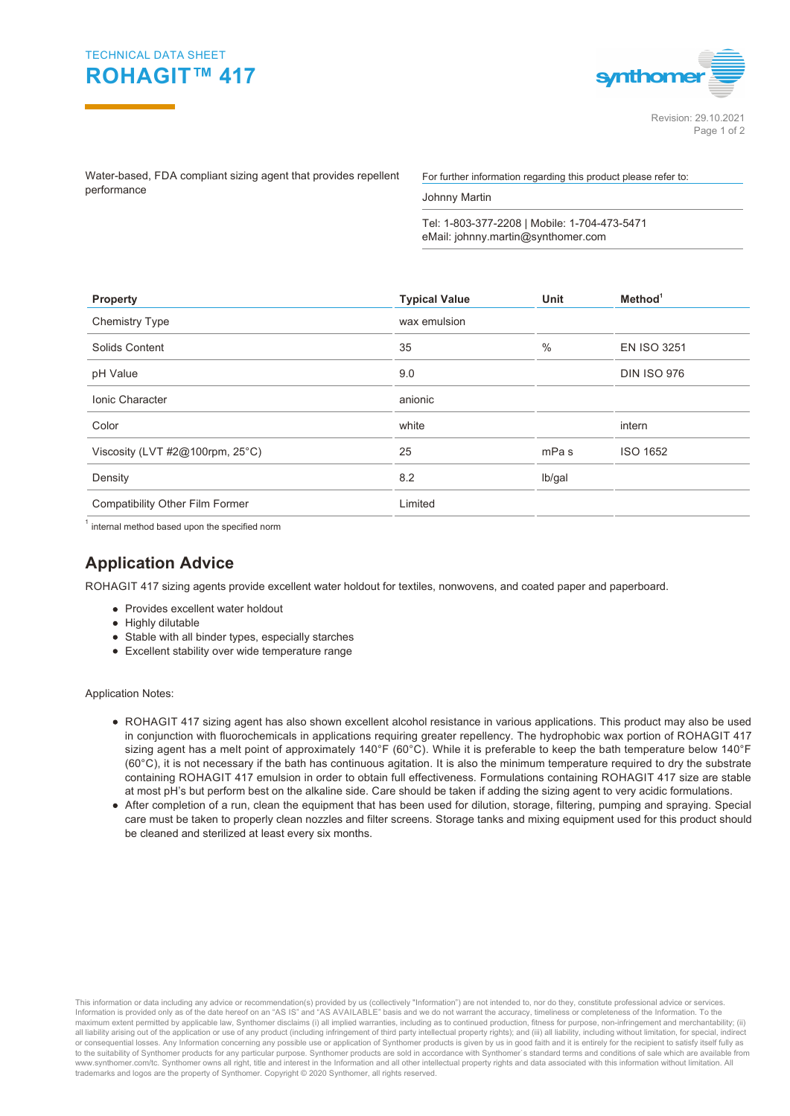



Water-based, FDA compliant sizing agent that provides repellent performance

For further information regarding this product please refer to:

Johnny Martin

Tel: 1-803-377-2208 | Mobile: 1-704-473-5471 eMail: johnny.martin@synthomer.com

| <b>Property</b>                        | <b>Typical Value</b> | <b>Unit</b>      | Method <sup>1</sup> |  |
|----------------------------------------|----------------------|------------------|---------------------|--|
| <b>Chemistry Type</b>                  | wax emulsion         |                  |                     |  |
| Solids Content                         | 35                   | $\frac{0}{0}$    | <b>EN ISO 3251</b>  |  |
| pH Value                               | 9.0                  |                  | <b>DIN ISO 976</b>  |  |
| <b>Ionic Character</b>                 | anionic              |                  |                     |  |
| Color                                  | white                |                  | intern              |  |
| Viscosity (LVT $#2@100$ rpm, $25°C$ )  | 25                   | mPa <sub>s</sub> | ISO 1652            |  |
| Density                                | 8.2                  | lb/gal           |                     |  |
| <b>Compatibility Other Film Former</b> | Limited              |                  |                     |  |
|                                        |                      |                  |                     |  |

 $^{\text{1}}$  internal method based upon the specified norm

## **Application Advice**

ROHAGIT 417 sizing agents provide excellent water holdout for textiles, nonwovens, and coated paper and paperboard.

- Provides excellent water holdout
- Highly dilutable
- Stable with all binder types, especially starches
- Excellent stability over wide temperature range

Application Notes:

- ROHAGIT 417 sizing agent has also shown excellent alcohol resistance in various applications. This product may also be used in conjunction with fluorochemicals in applications requiring greater repellency. The hydrophobic wax portion of ROHAGIT 417 sizing agent has a melt point of approximately 140°F (60°C). While it is preferable to keep the bath temperature below 140°F (60°C), it is not necessary if the bath has continuous agitation. It is also the minimum temperature required to dry the substrate containing ROHAGIT 417 emulsion in order to obtain full effectiveness. Formulations containing ROHAGIT 417 size are stable at most pH's but perform best on the alkaline side. Care should be taken if adding the sizing agent to very acidic formulations.
- After completion of a run, clean the equipment that has been used for dilution, storage, filtering, pumping and spraying. Special care must be taken to properly clean nozzles and filter screens. Storage tanks and mixing equipment used for this product should be cleaned and sterilized at least every six months.

This information or data including any advice or recommendation(s) provided by us (collectively "Information") are not intended to, nor do they, constitute professional advice or services.<br>Information is provided only as o maximum extent permitted by applicable law, Synthomer disclaims (i) all implied warranties, including as to continued production, fitness for purpose, non-infringement and merchantability; (ii) all liability arising out of the application or use of any product (including infringement of third party intellectual property rights); and (iii) all liability, including without limitation, for special, indirect or consequential losses. Any Information concerning any possible use or application of Synthomer products is given by us in good faith and it is entirely for the recipient to satisfy itself fully as to the suitability of Synthomer products for any particular purpose. Synthomer products are sold in accordance with Synthomer`s standard terms and conditions of sale which are available from www.synthomer.com/tc. Synthomer owns all right, title and interest in the Information and all other intellectual property rights and data associated with this information without limitation. All trademarks and logos are the property of Synthomer. Copyright © 2020 Synthomer, all rights reserved.